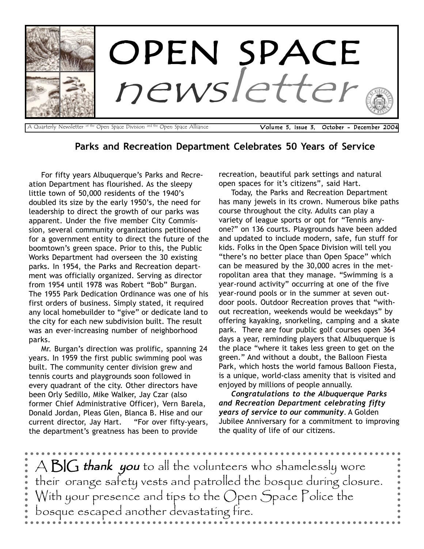

Parks and Recreation Department Celebrates 50 Years of Service

For fifty years Albuquerque's Parks and Recreation Department has flourished. As the sleepy little town of 50,000 residents of the 1940's doubled its size by the early 1950's, the need for leadership to direct the growth of our parks was apparent. Under the five member City Commission, several community organizations petitioned for a government entity to direct the future of the boomtown's green space. Prior to this, the Public Works Department had overseen the 30 existing parks. In 1954, the Parks and Recreation department was officially organized. Serving as director from 1954 until 1978 was Robert "Bob" Burgan. The 1955 Park Dedication Ordinance was one of his first orders of business. Simply stated, it required any local homebuilder to "give" or dedicate land to the city for each new subdivision built. The result was an ever-increasing number of neighborhood parks.

Mr. Burgan's direction was prolific, spanning 24 years. In 1959 the first public swimming pool was built. The community center division grew and tennis courts and playgrounds soon followed in every quadrant of the city. Other directors have been Orly Sedillo, Mike Walker, Jay Czar (also former Chief Administrative Officer), Vern Barela, Donald Jordan, Pleas Glen, Blanca B. Hise and our current director, Jay Hart. "For over fifty-years, the department's greatness has been to provide

recreation, beautiful park settings and natural open spaces for it's citizens", said Hart.

Today, the Parks and Recreation Department has many jewels in its crown. Numerous bike paths course throughout the city. Adults can play a variety of league sports or opt for "Tennis anyone?" on 136 courts. Playgrounds have been added and updated to include modern, safe, fun stuff for kids. Folks in the Open Space Division will tell you "there's no better place than Open Space" which can be measured by the 30,000 acres in the metropolitan area that they manage. "Swimming is a year-round activity" occurring at one of the five year-round pools or in the summer at seven outdoor pools. Outdoor Recreation proves that "without recreation, weekends would be weekdays" by offering kayaking, snorkeling, camping and a skate park. There are four public golf courses open 364 days a year, reminding players that Albuquerque is the place "where it takes less green to get on the green." And without a doubt, the Balloon Fiesta Park, which hosts the world famous Balloon Fiesta, is a unique, world-class amenity that is visited and enjoyed by millions of people annually.

Congratulations to the Albuquerque Parks and Recreation Department celebrating fifty years of service to our community. A Golden Jubilee Anniversary for a commitment to improving the quality of life of our citizens.

 $A \triangle G$  thank you to all the volunteers who shamelessly wore their orange safety vests and patrolled the bosque during closure. With your presence and tips to the Open Space Police the bosque escaped another devastating fire.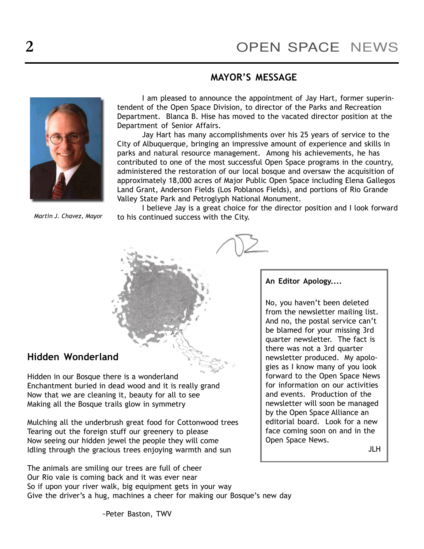No, you haven't been deleted from the newsletter mailing list. And no, the postal service can't be blamed for your missing 3rd quarter newsletter. The fact is there was not a 3rd quarter newsletter produced. My apologies as I know many of you look forward to the Open Space News for information on our activities and events. Production of the newsletter will soon be managed by the Open Space Alliance an editorial board. Look for a new face coming soon on and in the

An Editor Apology....

Open Space News.

JLH

## MAYOR'S MESSAGE



I am pleased to announce the appointment of Jay Hart, former superintendent of the Open Space Division, to director of the Parks and Recreation Department. Blanca B. Hise has moved to the vacated director position at the Department of Senior Affairs.

Jay Hart has many accomplishments over his 25 years of service to the City of Albuquerque, bringing an impressive amount of experience and skills in parks and natural resource management. Among his achievements, he has contributed to one of the most successful Open Space programs in the country, administered the restoration of our local bosque and oversaw the acquisition of approximately 18,000 acres of Major Public Open Space including Elena Gallegos Land Grant, Anderson Fields (Los Poblanos Fields), and portions of Rio Grande Valley State Park and Petroglyph National Monument.

Martin J. Chavez, Mayor

I believe Jay is a great choice for the director position and I look forward to his continued success with the City.

## Hidden Wonderland

Hidden in our Bosque there is a wonderland Enchantment buried in dead wood and it is really grand Now that we are cleaning it, beauty for all to see Making all the Bosque trails glow in symmetry

Mulching all the underbrush great food for Cottonwood trees Tearing out the foreign stuff our greenery to please Now seeing our hidden jewel the people they will come Idling through the gracious trees enjoying warmth and sun

The animals are smiling our trees are full of cheer Our Rio vale is coming back and it was ever near So if upon your river walk, big equipment gets in your way Give the driver's a hug, machines a cheer for making our Bosque's new day

~Peter Baston, TWV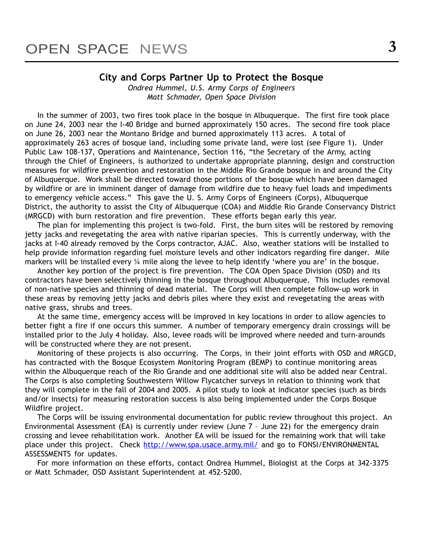#### City and Corps Partner Up to Protect the Bosque

Ondrea Hummel, U.S. Army Corps of Engineers Matt Schmader, Open Space Division

In the summer of 2003, two fires took place in the bosque in Albuquerque. The first fire took place on June 24, 2003 near the I-40 Bridge and burned approximately 150 acres. The second fire took place on June 26, 2003 near the Montano Bridge and burned approximately 113 acres. A total of approximately 263 acres of bosque land, including some private land, were lost (see Figure 1). Under Public Law 108-137, Operations and Maintenance, Section 116, "the Secretary of the Army, acting through the Chief of Engineers, is authorized to undertake appropriate planning, design and construction measures for wildfire prevention and restoration in the Middle Rio Grande bosque in and around the City of Albuquerque. Work shall be directed toward those portions of the bosque which have been damaged by wildfire or are in imminent danger of damage from wildfire due to heavy fuel loads and impediments to emergency vehicle access." This gave the U. S. Army Corps of Engineers (Corps), Albuquerque District, the authority to assist the City of Albuquerque (COA) and Middle Rio Grande Conservancy District (MRGCD) with burn restoration and fire prevention. These efforts began early this year.

The plan for implementing this project is two-fold. First, the burn sites will be restored by removing jetty jacks and revegetating the area with native riparian species. This is currently underway, with the jacks at I-40 already removed by the Corps contractor, AJAC. Also, weather stations will be installed to help provide information regarding fuel moisture levels and other indicators regarding fire danger. Mile markers will be installed every  $\frac{1}{4}$  mile along the levee to help identify 'where you are' in the bosque.

Another key portion of the project is fire prevention. The COA Open Space Division (OSD) and its contractors have been selectively thinning in the bosque throughout Albuquerque. This includes removal of non-native species and thinning of dead material. The Corps will then complete follow-up work in these areas by removing jetty jacks and debris piles where they exist and revegetating the areas with native grass, shrubs and trees.

At the same time, emergency access will be improved in key locations in order to allow agencies to better fight a fire if one occurs this summer. A number of temporary emergency drain crossings will be installed prior to the July 4 holiday. Also, levee roads will be improved where needed and turn-arounds will be constructed where they are not present.

Monitoring of these projects is also occurring. The Corps, in their joint efforts with OSD and MRGCD, has contracted with the Bosque Ecosystem Monitoring Program (BEMP) to continue monitoring areas within the Albuquerque reach of the Rio Grande and one additional site will also be added near Central. The Corps is also completing Southwestern Willow Flycatcher surveys in relation to thinning work that they will complete in the fall of 2004 and 2005. A pilot study to look at indicator species (such as birds and/or insects) for measuring restoration success is also being implemented under the Corps Bosque Wildfire project.

The Corps will be issuing environmental documentation for public review throughout this project. An Environmental Assessment (EA) is currently under review (June  $7$  - June 22) for the emergency drain crossing and levee rehabilitation work. Another EA will be issued for the remaining work that will take place under this project. Check http://www.spa.usace.army.mil/ and go to FONSI/ENVIRONMENTAL ASSESSMENTS for updates.

For more information on these efforts, contact Ondrea Hummel, Biologist at the Corps at 342-3375 or Matt Schmader, OSD Assistant Superintendent at 452-5200.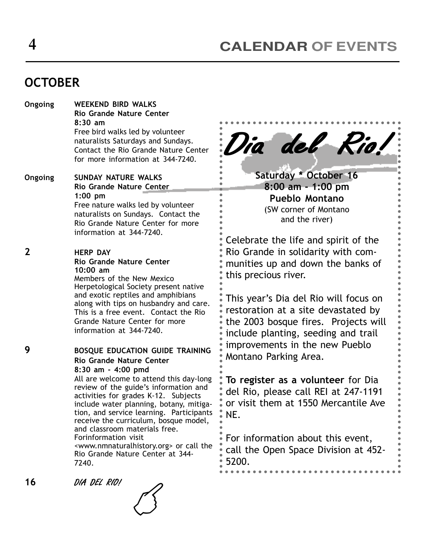# **OCTOBER**

| Ongoing     | <b>WEEKEND BIRD WALKS</b><br><b>Rio Grande Nature Center</b><br>8:30 am<br>Free bird walks led by volunteer<br>naturalists Saturdays and Sundays.<br>Contact the Rio Grande Nature Center<br>for more information at 344-7240.                                                                                                                                                                                                                                                                                                    |
|-------------|-----------------------------------------------------------------------------------------------------------------------------------------------------------------------------------------------------------------------------------------------------------------------------------------------------------------------------------------------------------------------------------------------------------------------------------------------------------------------------------------------------------------------------------|
| Ongoing     | SUNDAY NATURE WALKS<br>Rio Grande Nature Center<br>$1:00$ pm<br>Free nature walks led by volunteer<br>naturalists on Sundays. Contact the<br>Rio Grande Nature Center for more<br>information at 344-7240.                                                                                                                                                                                                                                                                                                                        |
| $\mathbf 2$ | <b>HERP DAY</b><br><b>Rio Grande Nature Center</b><br>10:00 am<br>Members of the New Mexico<br>Herpetological Society present native<br>and exotic reptiles and amphibians<br>along with tips on husbandry and care.<br>This is a free event. Contact the Rio<br>Grande Nature Center for more<br>information at 344-7240.                                                                                                                                                                                                        |
| 9           | <b>BOSQUE EDUCATION GUIDE TRAINING</b><br>Rio Grande Nature Center<br>8:30 am - 4:00 pmd<br>All are welcome to attend this day-long<br>review of the guide's information and<br>activities for grades K-12. Subjects<br>include water planning, botany, mitiga-<br>tion, and service learning. Participants<br>receive the curriculum, bosque model,<br>and classroom materials free.<br>Forinformation visit<br><www.nmnaturalhistory.org> or call the<br/>Rio Grande Nature Center at 344-<br/>7240.</www.nmnaturalhistory.org> |

Dia del Rio!

Saturday \* October 16 8:00 am - 1:00 pm Pueblo Montano (SW corner of Montano and the river)

Celebrate the life and spirit of the Rio Grande in solidarity with communities up and down the banks of this precious river.

This year's Dia del Rio will focus on restoration at a site devastated by the 2003 bosque fires. Projects will include planting, seeding and trail improvements in the new Pueblo Montano Parking Area.

To register as a volunteer for Dia del Rio, please call REI at 247-1191 or visit them at 1550 Mercantile Ave NE.

For information about this event, call the Open Space Division at 452- 5200.

16 DIA DEL RIO!

 $\mathcal{B}$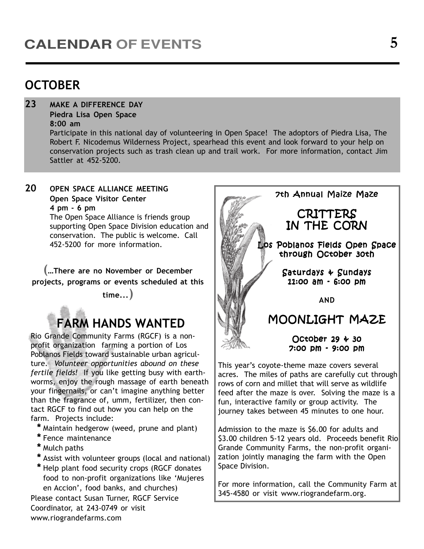# **OCTOBER**

23 MAKE A DIFFERENCE DAY

Piedra Lisa Open Space 8:00 am

Participate in this national day of volunteering in Open Space! The adoptors of Piedra Lisa, The Robert F. Nicodemus Wilderness Project, spearhead this event and look forward to your help on conservation projects such as trash clean up and trail work. For more information, contact Jim Sattler at 452-5200.

20 OPEN SPACE ALLIANCE MEETING Open Space Visitor Center 4 pm - 6 pm

The Open Space Alliance is friends group supporting Open Space Division education and conservation. The public is welcome. Call 452-5200 for more information.

(**...**There are no November or December projects, programs or events scheduled at this

time...)

# FARM HANDS WANTED

Rio Grande Community Farms (RGCF) is a nonprofit organization farming a portion of Los Poblanos Fields toward sustainable urban agriculture. Volunteer opportunities abound on these fertile fields! If you like getting busy with earthworms, enjoy the rough massage of earth beneath your fingernails, or can't imagine anything better than the fragrance of, umm, fertilizer, then contact RGCF to find out how you can help on the farm. Projects include:

- \* Maintain hedgerow (weed, prune and plant)
- \* Fence maintenance
- \* Mulch paths
- \* Assist with volunteer groups (local and national)
- \* Help plant food security crops (RGCF donates food to non-profit organizations like 'Mujeres en Accion', food banks, and churches)

Please contact Susan Turner, RGCF Service Coordinator, at 243-0749 or visit www.riograndefarms.com



This year's coyote-theme maze covers several acres. The miles of paths are carefully cut through rows of corn and millet that will serve as wildlife feed after the maze is over. Solving the maze is a fun, interactive family or group activity. The journey takes between 45 minutes to one hour.

Admission to the maze is \$6.00 for adults and \$3.00 children 5-12 years old. Proceeds benefit Rio Grande Community Farms, the non-profit organization jointly managing the farm with the Open Space Division.

For more information, call the Community Farm at 345-4580 or visit www.riograndefarm.org.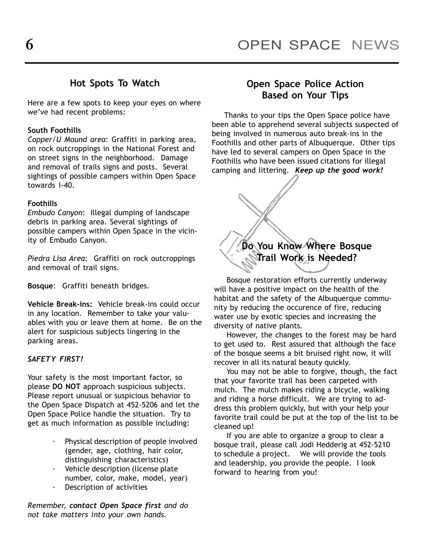## Hot Spots To Watch

Here are a few spots to keep your eyes on where we've had recent problems:

#### South Foothills

Copper/U Mound area: Graffiti in parking area, on rock outcroppings in the National Forest and on street signs in the neighborhood. Damage and removal of trails signs and posts. Several sightings of possible campers within Open Space towards I-40.

#### Foothills

Embudo Canyon: Illegal dumping of landscape debris in parking area. Several sightings of possible campers within Open Space in the vicinity of Embudo Canyon.

Piedra Lisa Area: Graffiti on rock outcroppings and removal of trail signs.

Bosque: Graffiti beneath bridges.

Vehicle Break-ins: Vehicle break-ins could occur in any location. Remember to take your valuables with you or leave them at home. Be on the alert for suspicious subjects lingering in the parking areas.

#### SAFETY FIRST!

Your safety is the most important factor, so please DO NOT approach suspicious subjects. Please report unusual or suspicious behavior to the Open Space Dispatch at 452-5206 and let the Open Space Police handle the situation. Try to get as much information as possible including:

- Physical description of people involved (gender, age, clothing, hair color, distinguishing characteristics)
- · Vehicle description (license plate number, color, make, model, year)
- · Description of activities

Remember, contact Open Space first and do not take matters into your own hands.

#### Open Space Police Action Based on Your Tips

Thanks to your tips the Open Space police have been able to apprehend several subjects suspected of being involved in numerous auto break-ins in the Foothills and other parts of Albuquerque. Other tips have led to several campers on Open Space in the Foothills who have been issued citations for illegal camping and littering. Keep up the good work!



Bosque restoration efforts currently underway will have a positive impact on the health of the habitat and the safety of the Albuquerque community by reducing the occurence of fire, reducing water use by exotic species and increasing the diversity of native plants.

However, the changes to the forest may be hard to get used to. Rest assured that although the face of the bosque seems a bit bruised right now, it will recover in all its natural beauty quickly.

You may not be able to forgive, though, the fact that your favorite trail has been carpeted with mulch. The mulch makes riding a bicycle, walking and riding a horse difficult. We are trying to address this problem quickly, but with your help your favorite trail could be put at the top of the list to be cleaned up!

If you are able to organize a group to clear a bosque trail, please call Jodi Hedderig at 452-5210 to schedule a project. We will provide the tools and leadership, you provide the people. I look forward to hearing from you!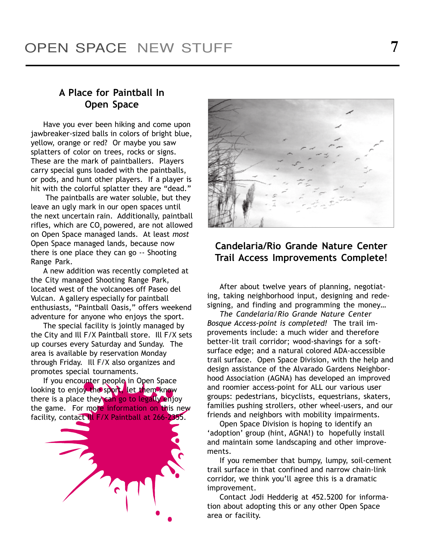## A Place for Paintball In Open Space

Have you ever been hiking and come upon jawbreaker-sized balls in colors of bright blue, yellow, orange or red? Or maybe you saw splatters of color on trees, rocks or signs. These are the mark of paintballers. Players carry special guns loaded with the paintballs, or pods, and hunt other players. If a player is hit with the colorful splatter they are "dead."

 The paintballs are water soluble, but they leave an ugly mark in our open spaces until the next uncertain rain. Additionally, paintball rifles, which are CO<sub>2</sub> powered, are not allowed on Open Space managed lands. At least most Open Space managed lands, because now there is one place they can go -- Shooting Range Park.

A new addition was recently completed at the City managed Shooting Range Park, located west of the volcanoes off Paseo del Vulcan. A gallery especially for paintball enthusiasts, "Paintball Oasis," offers weekend adventure for anyone who enjoys the sport.

The special facility is jointly managed by the City and Ill F/X Paintball store. Ill F/X sets up courses every Saturday and Sunday. The area is available by reservation Monday through Friday. Ill F/X also organizes and promotes special tournaments.

If you encounter people in Open Space looking to enjoy the sport, let them know there is a place they can go to legally enjoy the game. For more information on this new facility, contact Ill F/X Paintball at 266-2355.





## Candelaria/Rio Grande Nature Center Trail Access Improvements Complete!

After about twelve years of planning, negotiating, taking neighborhood input, designing and redesigning, and finding and programming the money...

The Candelaria/Rio Grande Nature Center Bosque Access-point is completed! The trail improvements include: a much wider and therefore better-lit trail corridor; wood-shavings for a softsurface edge; and a natural colored ADA-accessible trail surface. Open Space Division, with the help and design assistance of the Alvarado Gardens Neighborhood Association (AGNA) has developed an improved and roomier access-point for ALL our various user groups: pedestrians, bicyclists, equestrians, skaters, families pushing strollers, other wheel-users, and our friends and neighbors with mobility impairments.

Open Space Division is hoping to identify an 'adoption' group (hint, AGNA!) to hopefully install and maintain some landscaping and other improvements.

If you remember that bumpy, lumpy, soil-cement trail surface in that confined and narrow chain-link corridor, we think you'll agree this is a dramatic improvement.

Contact Jodi Hedderig at 452.5200 for information about adopting this or any other Open Space area or facility.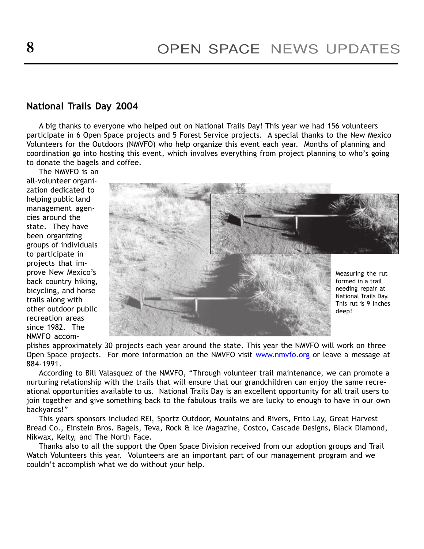#### National Trails Day 2004

A big thanks to everyone who helped out on National Trails Day! This year we had 156 volunteers participate in 6 Open Space projects and 5 Forest Service projects. A special thanks to the New Mexico Volunteers for the Outdoors (NMVFO) who help organize this event each year. Months of planning and coordination go into hosting this event, which involves everything from project planning to who's going to donate the bagels and coffee.

The NMVFO is an all-volunteer organization dedicated to helping public land management agencies around the state. They have been organizing groups of individuals to participate in projects that improve New Mexico's back country hiking, bicycling, and horse trails along with other outdoor public recreation areas since 1982. The NMVFO accom-



plishes approximately 30 projects each year around the state. This year the NMVFO will work on three Open Space projects. For more information on the NMVFO visit www.nmvfo.org or leave a message at 884-1991.

According to Bill Valasquez of the NMVFO, "Through volunteer trail maintenance, we can promote a nurturing relationship with the trails that will ensure that our grandchildren can enjoy the same recreational opportunities available to us. National Trails Day is an excellent opportunity for all trail users to join together and give something back to the fabulous trails we are lucky to enough to have in our own backyards!"

This years sponsors included REI, Sportz Outdoor, Mountains and Rivers, Frito Lay, Great Harvest Bread Co., Einstein Bros. Bagels, Teva, Rock & Ice Magazine, Costco, Cascade Designs, Black Diamond, Nikwax, Kelty, and The North Face.

Thanks also to all the support the Open Space Division received from our adoption groups and Trail Watch Volunteers this year. Volunteers are an important part of our management program and we couldn't accomplish what we do without your help.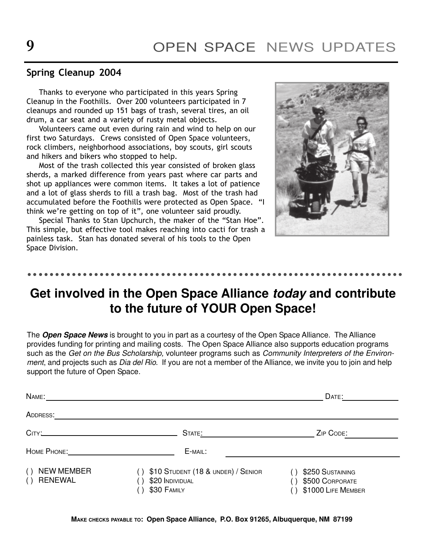#### Spring Cleanup 2004

- ------ -- --- -- --- -- --- -- ------ -- --- -- --- --

Thanks to everyone who participated in this years Spring Cleanup in the Foothills. Over 200 volunteers participated in 7 cleanups and rounded up 151 bags of trash, several tires, an oil drum, a car seat and a variety of rusty metal objects.

Volunteers came out even during rain and wind to help on our first two Saturdays. Crews consisted of Open Space volunteers, rock climbers, neighborhood associations, boy scouts, girl scouts and hikers and bikers who stopped to help.

Most of the trash collected this year consisted of broken glass sherds, a marked difference from years past where car parts and shot up appliances were common items. It takes a lot of patience and a lot of glass sherds to fill a trash bag. Most of the trash had accumulated before the Foothills were protected as Open Space. "I think we're getting on top of it", one volunteer said proudly.

Special Thanks to Stan Upchurch, the maker of the "Stan Hoe". This simple, but effective tool makes reaching into cacti for trash a painless task. Stan has donated several of his tools to the Open Space Division.



- - - - -

- - - - -

- - - - -

- - - - -

# **Get involved in the Open Space Alliance today and contribute to the future of YOUR Open Space!**

The **Open Space News** is brought to you in part as a courtesy of the Open Space Alliance. The Alliance provides funding for printing and mailing costs. The Open Space Alliance also supports education programs such as the Get on the Bus Scholarship, volunteer programs such as Community Interpreters of the Environment, and projects such as Dia del Rio. If you are not a member of the Alliance, we invite you to join and help support the future of Open Space.

|                                        |                                                                      | DATE:                                                           |
|----------------------------------------|----------------------------------------------------------------------|-----------------------------------------------------------------|
| ADDRESS:                               |                                                                      |                                                                 |
|                                        | STATE:                                                               | ZIP CODE:                                                       |
|                                        | E-MAIL:                                                              |                                                                 |
| <b>NEW MEMBER</b><br>( )<br>() RENEWAL | \$10 STUDENT (18 & UNDER) / SENIOR<br>\$20 INDIVIDUAL<br>\$30 FAMILY | \$250 SUSTAINING<br>\$500 CORPORATE<br>()<br>\$1000 LIFE MEMBER |